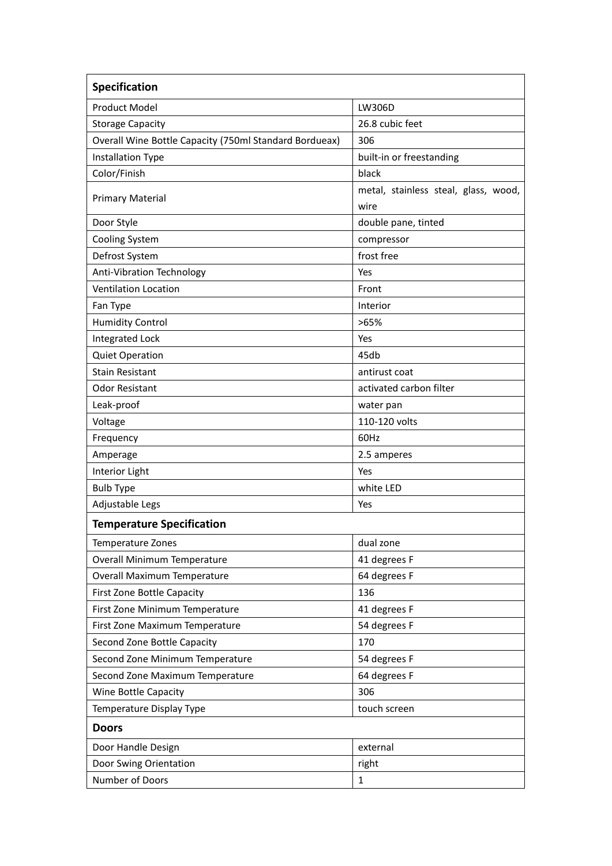| Specification                                          |                                      |
|--------------------------------------------------------|--------------------------------------|
| <b>Product Model</b>                                   | LW306D                               |
| <b>Storage Capacity</b>                                | 26.8 cubic feet                      |
| Overall Wine Bottle Capacity (750ml Standard Bordueax) | 306                                  |
| <b>Installation Type</b>                               | built-in or freestanding             |
| Color/Finish                                           | black                                |
| <b>Primary Material</b>                                | metal, stainless steal, glass, wood, |
|                                                        | wire                                 |
| Door Style                                             | double pane, tinted                  |
| <b>Cooling System</b>                                  | compressor                           |
| Defrost System                                         | frost free                           |
| Anti-Vibration Technology                              | Yes                                  |
| <b>Ventilation Location</b>                            | Front                                |
| Fan Type                                               | Interior                             |
| <b>Humidity Control</b>                                | >65%                                 |
| Integrated Lock                                        | Yes                                  |
| <b>Quiet Operation</b>                                 | 45db                                 |
| <b>Stain Resistant</b>                                 | antirust coat                        |
| <b>Odor Resistant</b>                                  | activated carbon filter              |
| Leak-proof                                             | water pan                            |
| Voltage                                                | 110-120 volts                        |
| Frequency                                              | 60Hz                                 |
| Amperage                                               | 2.5 amperes                          |
| Interior Light                                         | Yes                                  |
| <b>Bulb Type</b>                                       | white LED                            |
| Adjustable Legs                                        | Yes                                  |
| <b>Temperature Specification</b>                       |                                      |
| Temperature Zones                                      | dual zone                            |
| Overall Minimum Temperature                            | 41 degrees F                         |
| Overall Maximum Temperature                            | 64 degrees F                         |
| First Zone Bottle Capacity                             | 136                                  |
| First Zone Minimum Temperature                         | 41 degrees F                         |
| First Zone Maximum Temperature                         | 54 degrees F                         |
| Second Zone Bottle Capacity                            | 170                                  |
| Second Zone Minimum Temperature                        | 54 degrees F                         |
| Second Zone Maximum Temperature                        | 64 degrees F                         |
| Wine Bottle Capacity                                   | 306                                  |
| Temperature Display Type                               | touch screen                         |
| <b>Doors</b>                                           |                                      |
| Door Handle Design                                     | external                             |
| Door Swing Orientation                                 | right                                |
| Number of Doors                                        | $\mathbf{1}$                         |
|                                                        |                                      |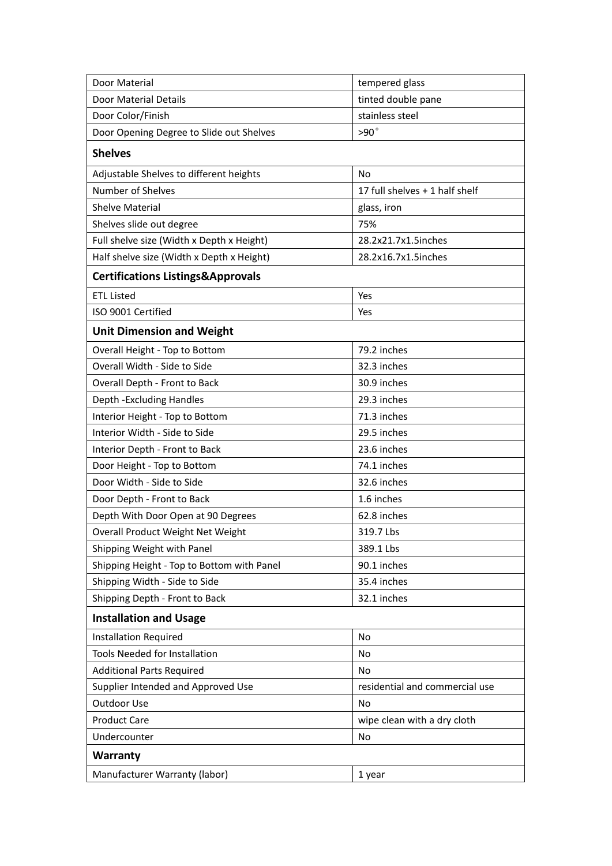| Door Material                                | tempered glass                 |
|----------------------------------------------|--------------------------------|
| Door Material Details                        | tinted double pane             |
| Door Color/Finish                            | stainless steel                |
| Door Opening Degree to Slide out Shelves     | $>90^\circ$                    |
| <b>Shelves</b>                               |                                |
| Adjustable Shelves to different heights      | No                             |
| Number of Shelves                            | 17 full shelves + 1 half shelf |
| <b>Shelve Material</b>                       | glass, iron                    |
| Shelves slide out degree                     | 75%                            |
| Full shelve size (Width x Depth x Height)    | 28.2x21.7x1.5inches            |
| Half shelve size (Width x Depth x Height)    | 28.2x16.7x1.5inches            |
| <b>Certifications Listings&amp;Approvals</b> |                                |
| <b>ETL Listed</b>                            | Yes                            |
| ISO 9001 Certified                           | Yes                            |
| <b>Unit Dimension and Weight</b>             |                                |
| Overall Height - Top to Bottom               | 79.2 inches                    |
| Overall Width - Side to Side                 | 32.3 inches                    |
| Overall Depth - Front to Back                | 30.9 inches                    |
| Depth - Excluding Handles                    | 29.3 inches                    |
| Interior Height - Top to Bottom              | 71.3 inches                    |
| Interior Width - Side to Side                | 29.5 inches                    |
| Interior Depth - Front to Back               | 23.6 inches                    |
| Door Height - Top to Bottom                  | 74.1 inches                    |
| Door Width - Side to Side                    | 32.6 inches                    |
| Door Depth - Front to Back                   | 1.6 inches                     |
| Depth With Door Open at 90 Degrees           | 62.8 inches                    |
| Overall Product Weight Net Weight            | 319.7 Lbs                      |
| Shipping Weight with Panel                   | 389.1 Lbs                      |
| Shipping Height - Top to Bottom with Panel   | 90.1 inches                    |
| Shipping Width - Side to Side                | 35.4 inches                    |
| Shipping Depth - Front to Back               | 32.1 inches                    |
| <b>Installation and Usage</b>                |                                |
| <b>Installation Required</b>                 | No                             |
| Tools Needed for Installation                | No                             |
| <b>Additional Parts Required</b>             | No                             |
| Supplier Intended and Approved Use           | residential and commercial use |
| Outdoor Use                                  | No                             |
| <b>Product Care</b>                          | wipe clean with a dry cloth    |
| Undercounter                                 | No                             |
| <b>Warranty</b>                              |                                |
| Manufacturer Warranty (labor)                | 1 year                         |